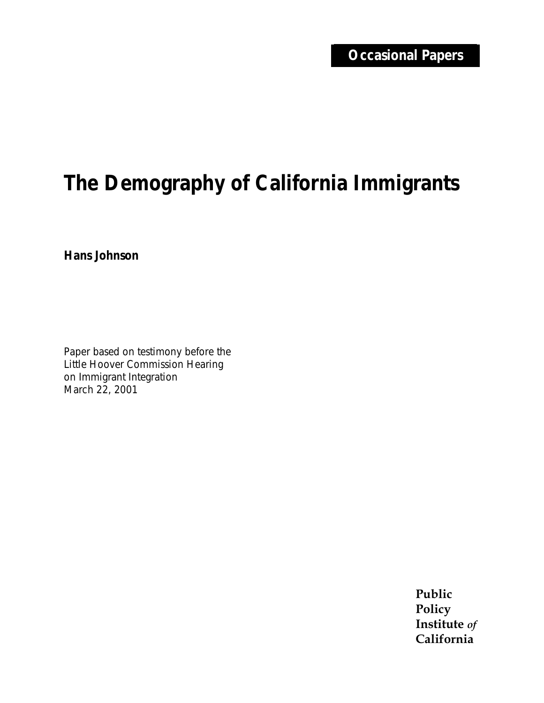# *The Demography of California Immigrants*

*Hans Johnson* 

Paper based on testimony before the Little Hoover Commission Hearing on Immigrant Integration March 22, 2001

**Public**  Public **Public Public Public Policy Institute** *of*  **California**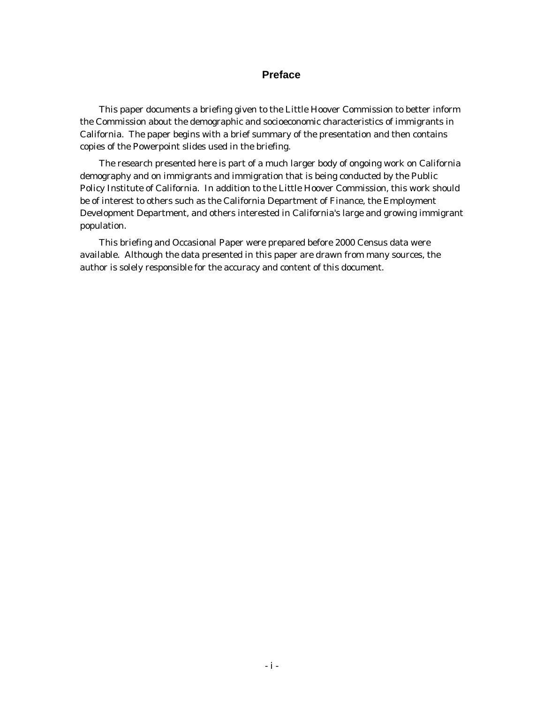### **Preface**

This paper documents a briefing given to the Little Hoover Commission to better inform the Commission about the demographic and socioeconomic characteristics of immigrants in California. The paper begins with a brief summary of the presentation and then contains copies of the Powerpoint slides used in the briefing.

The research presented here is part of a much larger body of ongoing work on California demography and on immigrants and immigration that is being conducted by the Public Policy Institute of California. In addition to the Little Hoover Commission, this work should be of interest to others such as the California Department of Finance, the Employment Development Department, and others interested in California's large and growing immigrant population.

This briefing and Occasional Paper were prepared before 2000 Census data were available. Although the data presented in this paper are drawn from many sources, the author is solely responsible for the accuracy and content of this document.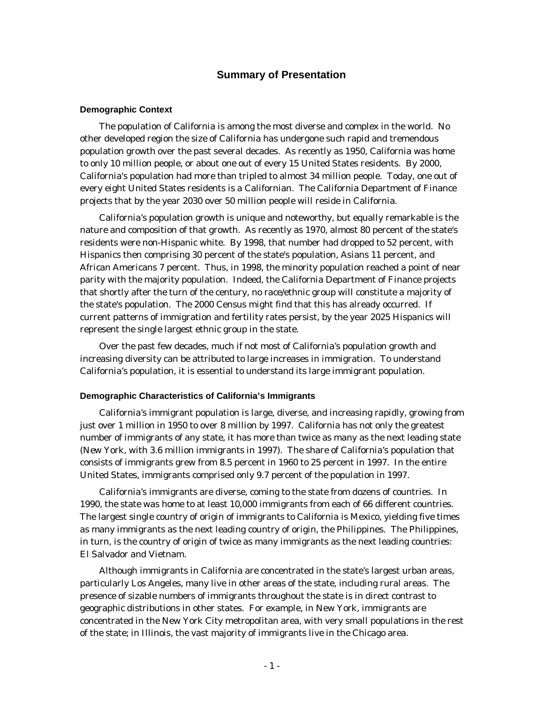#### **Summary of Presentation**

#### **Demographic Context**

The population of California is among the most diverse and complex in the world. No other developed region the size of California has undergone such rapid and tremendous population growth over the past several decades. As recently as 1950, California was home to only 10 million people, or about one out of every 15 United States residents. By 2000, California's population had more than tripled to almost 34 million people. Today, one out of every eight United States residents is a Californian. The California Department of Finance projects that by the year 2030 over 50 million people will reside in California.

California's population growth is unique and noteworthy, but equally remarkable is the nature and composition of that growth. As recently as 1970, almost 80 percent of the state's residents were non-Hispanic white. By 1998, that number had dropped to 52 percent, with Hispanics then comprising 30 percent of the state's population, Asians 11 percent, and African Americans 7 percent. Thus, in 1998, the minority population reached a point of near parity with the majority population. Indeed, the California Department of Finance projects that shortly after the turn of the century, no race/ethnic group will constitute a majority of the state's population. The 2000 Census might find that this has already occurred. If current patterns of immigration and fertility rates persist, by the year 2025 Hispanics will represent the single largest ethnic group in the state.

Over the past few decades, much if not most of California's population growth and increasing diversity can be attributed to large increases in immigration. To understand California's population, it is essential to understand its large immigrant population.

#### **Demographic Characteristics of California's Immigrants**

California's immigrant population is large, diverse, and increasing rapidly, growing from just over 1 million in 1950 to over 8 million by 1997. California has not only the greatest number of immigrants of any state, it has more than twice as many as the next leading state (New York, with 3.6 million immigrants in 1997). The share of California's population that consists of immigrants grew from 8.5 percent in 1960 to 25 percent in 1997. In the entire United States, immigrants comprised only 9.7 percent of the population in 1997.

California's immigrants are diverse, coming to the state from dozens of countries. In 1990, the state was home to at least 10,000 immigrants from each of 66 different countries. The largest single country of origin of immigrants to California is Mexico, yielding five times as many immigrants as the next leading country of origin, the Philippines. The Philippines, in turn, is the country of origin of twice as many immigrants as the next leading countries: El Salvador and Vietnam.

Although immigrants in California are concentrated in the state's largest urban areas, particularly Los Angeles, many live in other areas of the state, including rural areas. The presence of sizable numbers of immigrants throughout the state is in direct contrast to geographic distributions in other states. For example, in New York, immigrants are concentrated in the New York City metropolitan area, with very small populations in the rest of the state; in Illinois, the vast majority of immigrants live in the Chicago area.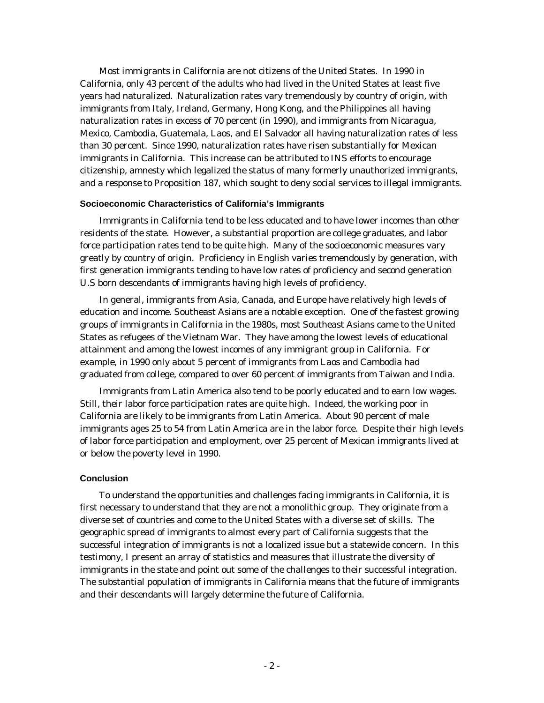Most immigrants in California are not citizens of the United States. In 1990 in California, only 43 percent of the adults who had lived in the United States at least five years had naturalized. Naturalization rates vary tremendously by country of origin, with immigrants from Italy, Ireland, Germany, Hong Kong, and the Philippines all having naturalization rates in excess of 70 percent (in 1990), and immigrants from Nicaragua, Mexico, Cambodia, Guatemala, Laos, and El Salvador all having naturalization rates of less than 30 percent. Since 1990, naturalization rates have risen substantially for Mexican immigrants in California. This increase can be attributed to INS efforts to encourage citizenship, amnesty which legalized the status of many formerly unauthorized immigrants, and a response to Proposition 187, which sought to deny social services to illegal immigrants.

#### **Socioeconomic Characteristics of California's Immigrants**

Immigrants in California tend to be less educated and to have lower incomes than other residents of the state. However, a substantial proportion are college graduates, and labor force participation rates tend to be quite high. Many of the socioeconomic measures vary greatly by country of origin. Proficiency in English varies tremendously by generation, with first generation immigrants tending to have low rates of proficiency and second generation U.S born descendants of immigrants having high levels of proficiency.

In general, immigrants from Asia, Canada, and Europe have relatively high levels of education and income. Southeast Asians are a notable exception. One of the fastest growing groups of immigrants in California in the 1980s, most Southeast Asians came to the United States as refugees of the Vietnam War. They have among the lowest levels of educational attainment and among the lowest incomes of any immigrant group in California. For example, in 1990 only about 5 percent of immigrants from Laos and Cambodia had graduated from college, compared to over 60 percent of immigrants from Taiwan and India.

Immigrants from Latin America also tend to be poorly educated and to earn low wages. Still, their labor force participation rates are quite high. Indeed, the working poor in California are likely to be immigrants from Latin America. About 90 percent of male immigrants ages 25 to 54 from Latin America are in the labor force. Despite their high levels of labor force participation and employment, over 25 percent of Mexican immigrants lived at or below the poverty level in 1990.

#### **Conclusion**

To understand the opportunities and challenges facing immigrants in California, it is first necessary to understand that they are not a monolithic group. They originate from a diverse set of countries and come to the United States with a diverse set of skills. The geographic spread of immigrants to almost every part of California suggests that the successful integration of immigrants is not a localized issue but a statewide concern. In this testimony, I present an array of statistics and measures that illustrate the diversity of immigrants in the state and point out some of the challenges to their successful integration. The substantial population of immigrants in California means that the future of immigrants and their descendants will largely determine the future of California.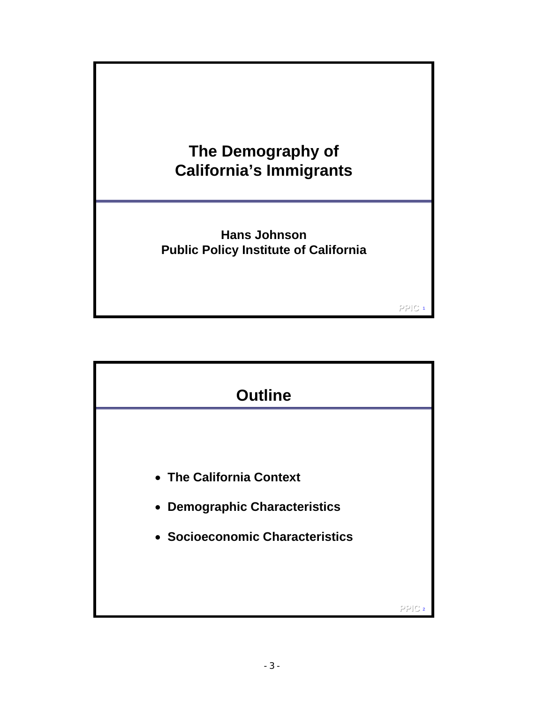

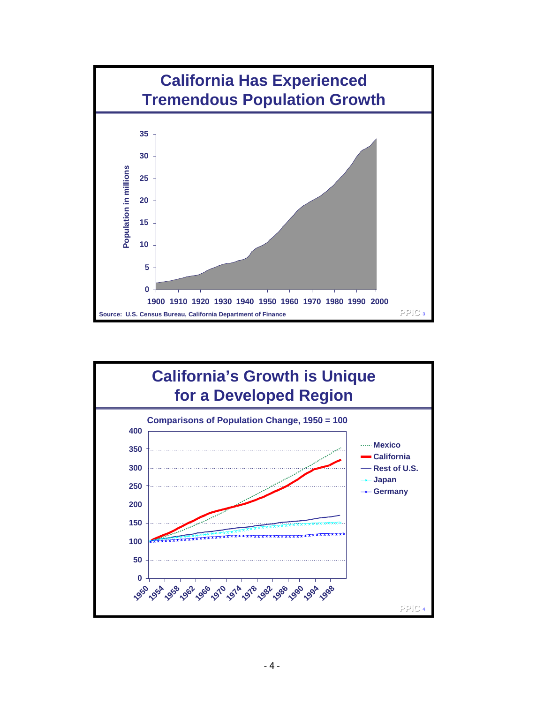

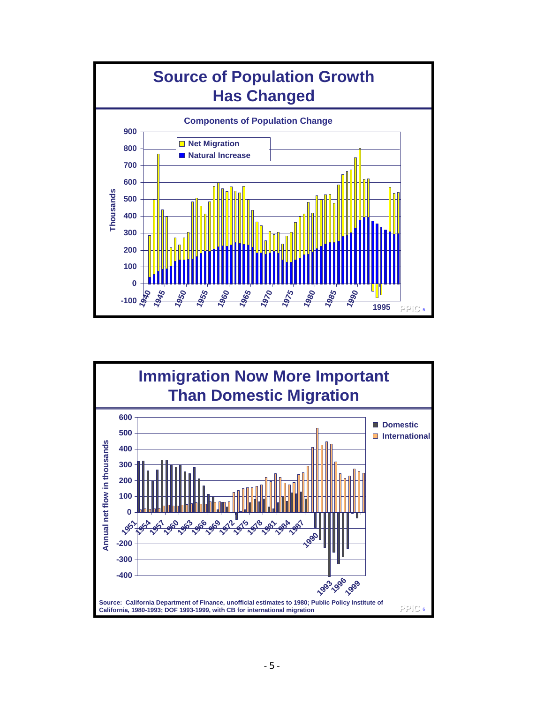

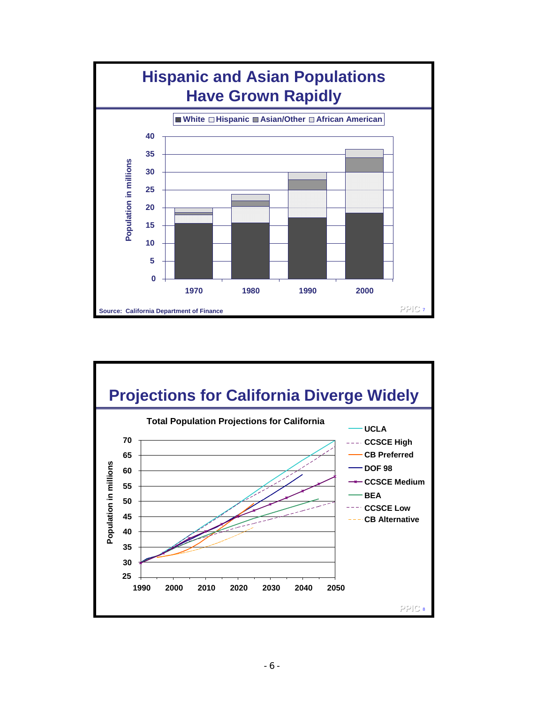

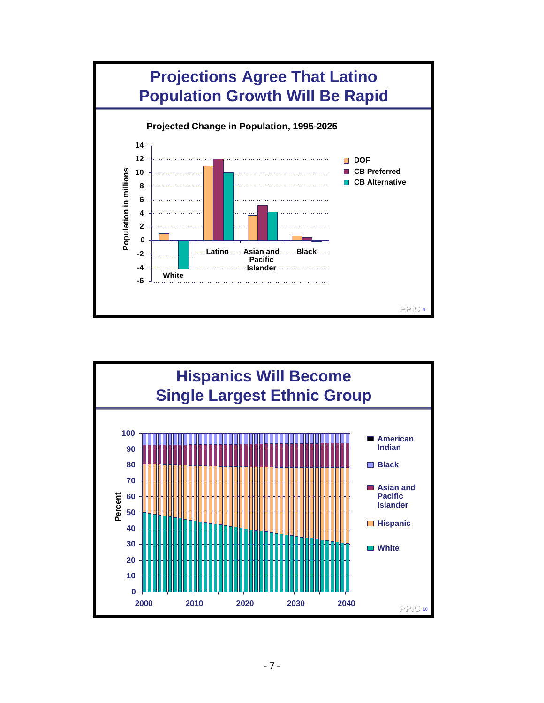

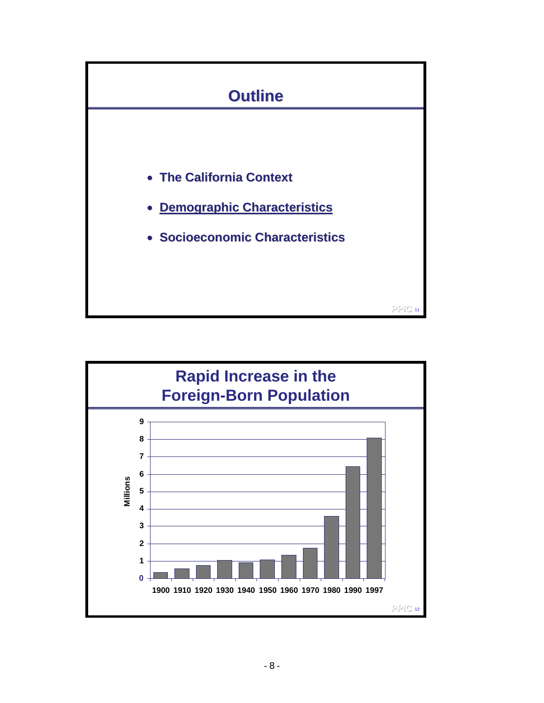

![](_page_9_Figure_1.jpeg)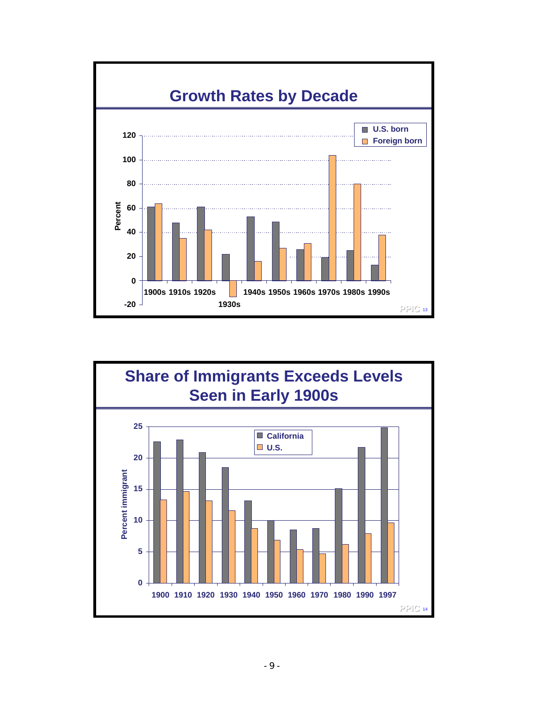![](_page_10_Figure_0.jpeg)

![](_page_10_Figure_1.jpeg)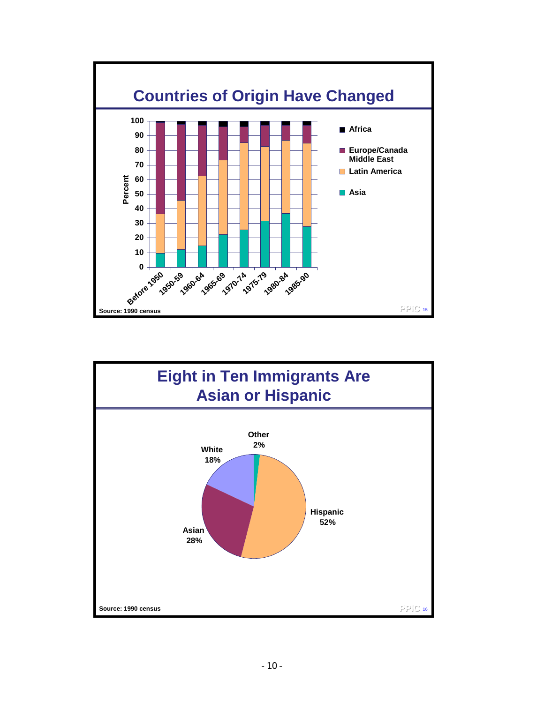![](_page_11_Figure_0.jpeg)

![](_page_11_Figure_1.jpeg)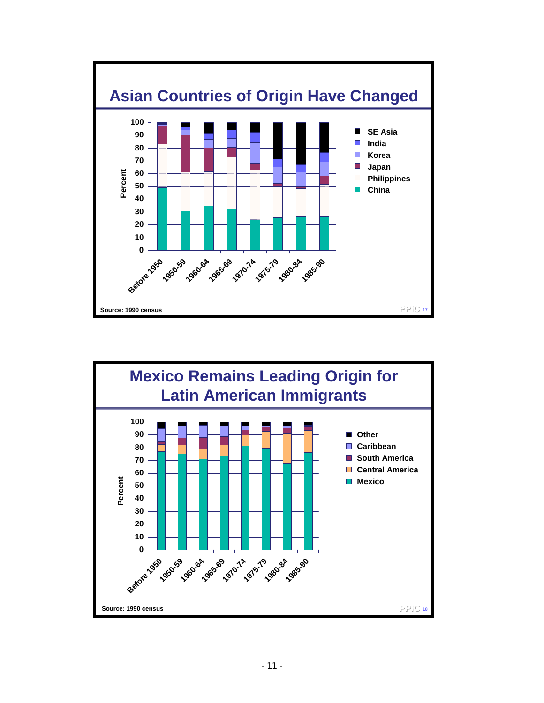![](_page_12_Figure_0.jpeg)

![](_page_12_Figure_1.jpeg)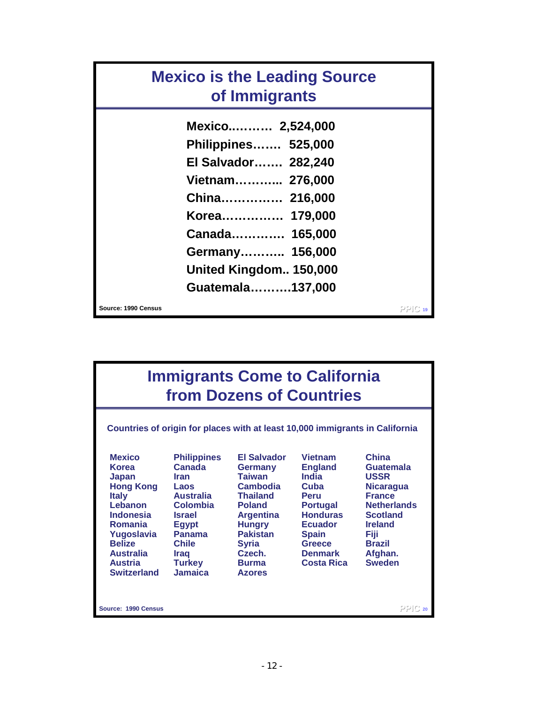| <b>Mexico is the Leading Source</b><br>of Immigrants |                            |           |
|------------------------------------------------------|----------------------------|-----------|
|                                                      | Mexico 2,524,000           |           |
|                                                      | <b>Philippines 525,000</b> |           |
|                                                      | El Salvador 282,240        |           |
|                                                      | Vietnam 276,000            |           |
|                                                      | China 216,000              |           |
|                                                      | Korea 179,000              |           |
|                                                      | Canada 165,000             |           |
|                                                      | Germany 156,000            |           |
|                                                      | United Kingdom 150,000     |           |
|                                                      | Guatemala137,000           |           |
| Source: 1990 Census                                  |                            | $PPIC$ 19 |

## **Immigrants Come to California from Dozens of Countries**

**Countries of origin for places with at least 10,000 immigrants in California**

Japan Iran Taiwan India USSR<br>**Hong Kong Laos Cambodia Cuba** Nicaragua **Hong Kong Laos Cambodia**<br> **Haly Australia Thailand Italy Australia Thailand Peru France Lebanon Colombia Poland Portugal Netherlands Romania Egypt Hungry Ecuador Ireland Yugoslavia Panama Pakistan Spain Fiji Belize Chile Syria Greece Brazil Australia Iraq Czech. Denmark Afghan. Switzerland** 

**Argentina Austria Costa Rica Costa Rica Sweet Burma Costa Rica**<br>Turkida Azores

**England Guater<br>India USSR** 

**Mexico Philippines El Salvador Vietnam China**

**Source: 1990 Census**

**PPIC PPIC20**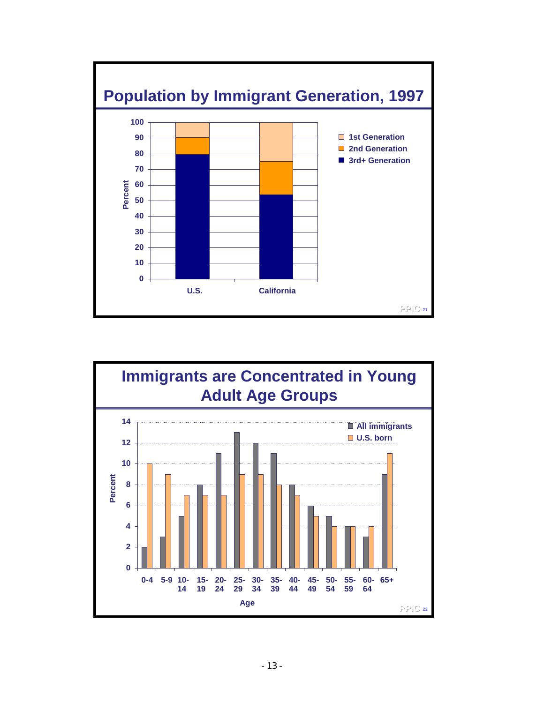![](_page_14_Figure_0.jpeg)

![](_page_14_Figure_1.jpeg)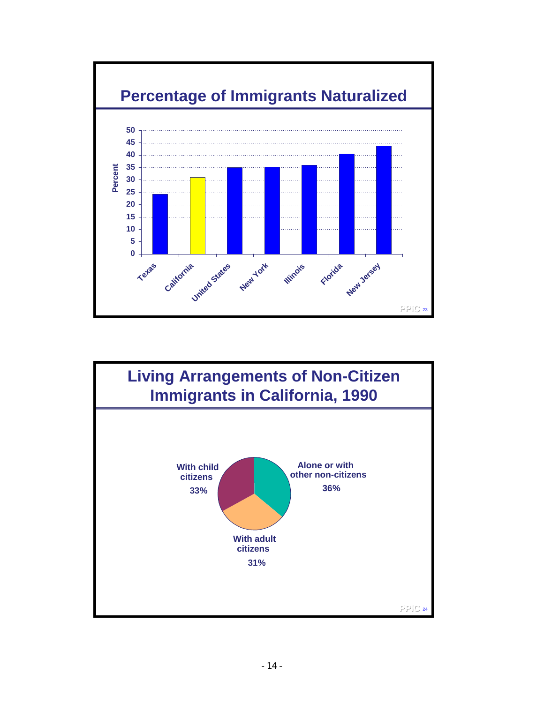![](_page_15_Figure_0.jpeg)

![](_page_15_Figure_1.jpeg)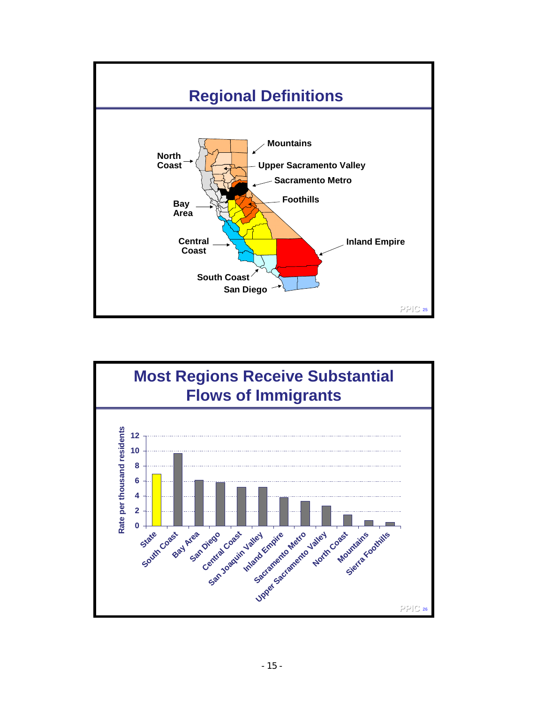![](_page_16_Figure_0.jpeg)

![](_page_16_Figure_1.jpeg)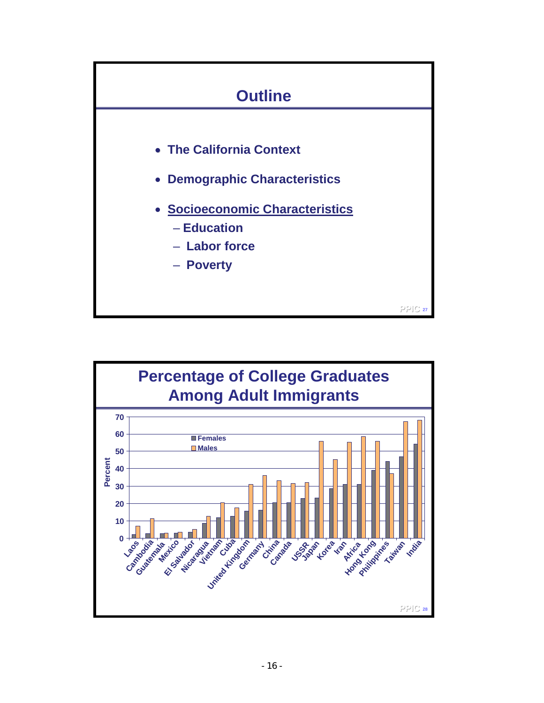![](_page_17_Figure_0.jpeg)

![](_page_17_Figure_1.jpeg)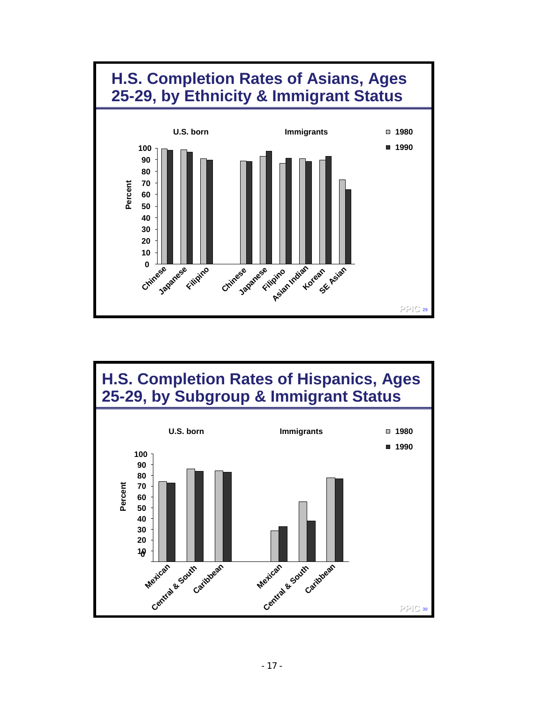![](_page_18_Figure_0.jpeg)

![](_page_18_Figure_1.jpeg)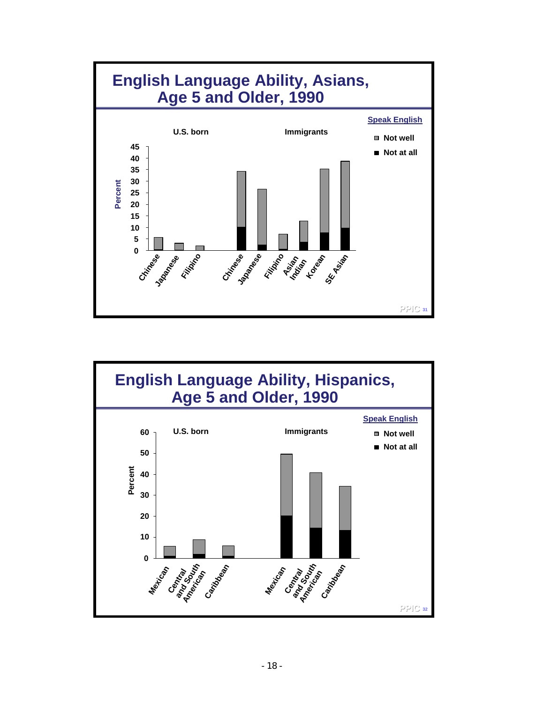![](_page_19_Figure_0.jpeg)

![](_page_19_Figure_1.jpeg)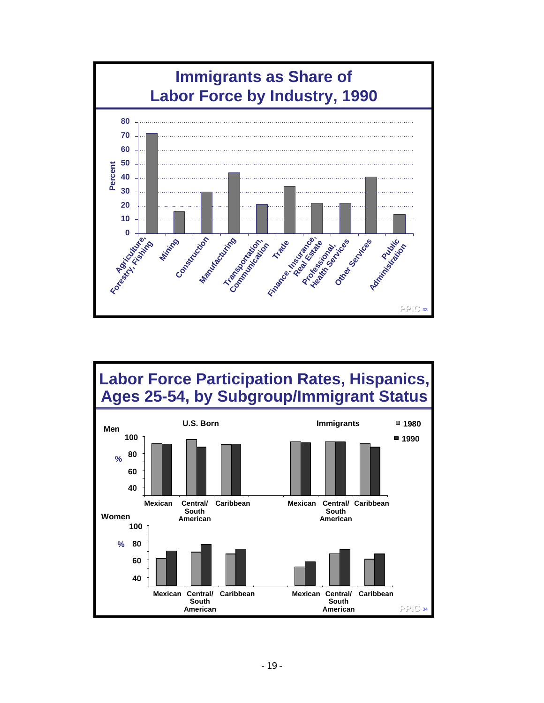![](_page_20_Figure_0.jpeg)

![](_page_20_Figure_1.jpeg)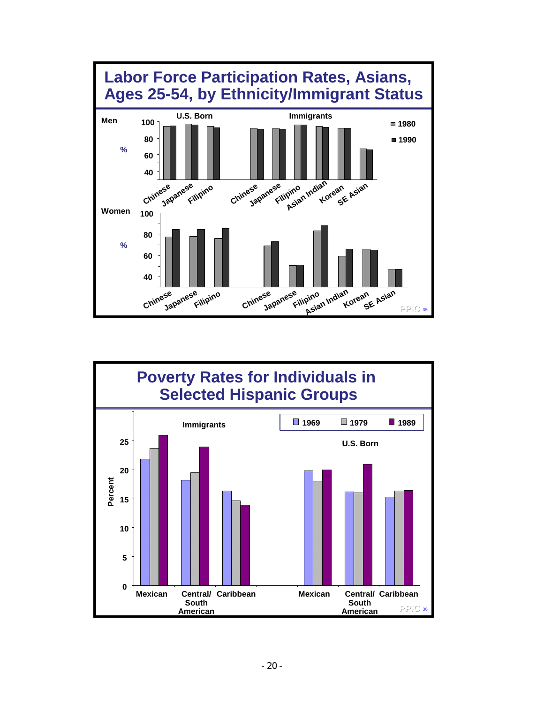![](_page_21_Figure_0.jpeg)

![](_page_21_Figure_1.jpeg)